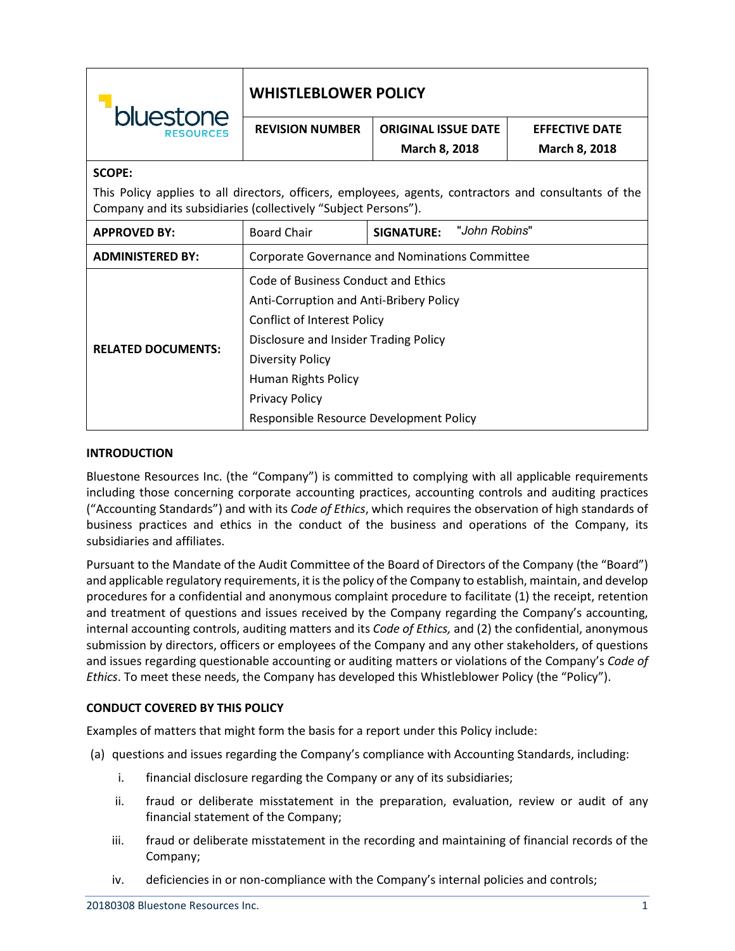| bluestone<br><b>RESOURCES</b>                                                                                                                                           | <b>WHISTLEBLOWER POLICY</b>                           |                             |                       |
|-------------------------------------------------------------------------------------------------------------------------------------------------------------------------|-------------------------------------------------------|-----------------------------|-----------------------|
|                                                                                                                                                                         | <b>REVISION NUMBER</b>                                | <b>ORIGINAL ISSUE DATE</b>  | <b>EFFECTIVE DATE</b> |
|                                                                                                                                                                         |                                                       | March 8, 2018               | March 8, 2018         |
| <b>SCOPE:</b>                                                                                                                                                           |                                                       |                             |                       |
| This Policy applies to all directors, officers, employees, agents, contractors and consultants of the<br>Company and its subsidiaries (collectively "Subject Persons"). |                                                       |                             |                       |
| <b>APPROVED BY:</b>                                                                                                                                                     | <b>Board Chair</b>                                    | "John Robins"<br>SIGNATURE: |                       |
| <b>ADMINISTERED BY:</b>                                                                                                                                                 | <b>Corporate Governance and Nominations Committee</b> |                             |                       |
| <b>RELATED DOCUMENTS:</b>                                                                                                                                               | Code of Business Conduct and Ethics                   |                             |                       |
|                                                                                                                                                                         | Anti-Corruption and Anti-Bribery Policy               |                             |                       |
|                                                                                                                                                                         | <b>Conflict of Interest Policy</b>                    |                             |                       |
|                                                                                                                                                                         | Disclosure and Insider Trading Policy                 |                             |                       |
|                                                                                                                                                                         | <b>Diversity Policy</b>                               |                             |                       |
|                                                                                                                                                                         | Human Rights Policy                                   |                             |                       |
|                                                                                                                                                                         | <b>Privacy Policy</b>                                 |                             |                       |
|                                                                                                                                                                         | Responsible Resource Development Policy               |                             |                       |

# **INTRODUCTION**

Bluestone Resources Inc. (the "Company") is committed to complying with all applicable requirements including those concerning corporate accounting practices, accounting controls and auditing practices ("Accounting Standards") and with its *Code of Ethics*, which requires the observation of high standards of business practices and ethics in the conduct of the business and operations of the Company, its subsidiaries and affiliates.

Pursuant to the Mandate of the Audit Committee of the Board of Directors of the Company (the "Board") and applicable regulatory requirements, it is the policy of the Company to establish, maintain, and develop procedures for a confidential and anonymous complaint procedure to facilitate (1) the receipt, retention and treatment of questions and issues received by the Company regarding the Company's accounting, internal accounting controls, auditing matters and its *Code of Ethics,* and (2) the confidential, anonymous submission by directors, officers or employees of the Company and any other stakeholders, of questions and issues regarding questionable accounting or auditing matters or violations of the Company's *Code of Ethics*. To meet these needs, the Company has developed this Whistleblower Policy (the "Policy").

### **CONDUCT COVERED BY THIS POLICY**

Examples of matters that might form the basis for a report under this Policy include:

- (a) questions and issues regarding the Company's compliance with Accounting Standards, including:
	- i. financial disclosure regarding the Company or any of its subsidiaries;
	- ii. fraud or deliberate misstatement in the preparation, evaluation, review or audit of any financial statement of the Company;
	- iii. fraud or deliberate misstatement in the recording and maintaining of financial records of the Company;
	- iv. deficiencies in or non-compliance with the Company's internal policies and controls;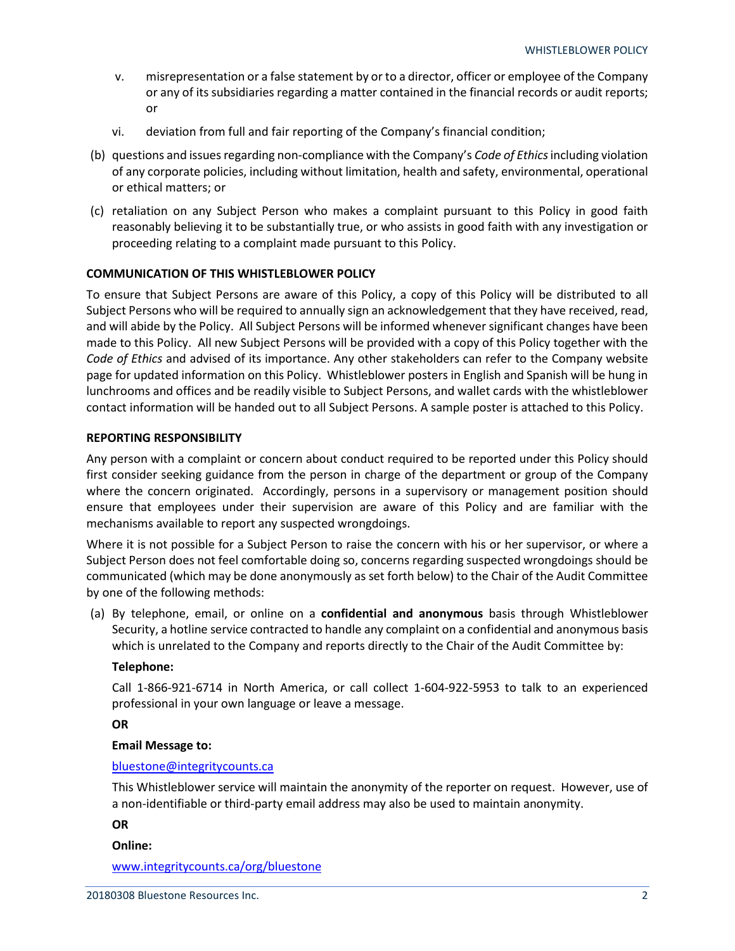- v. misrepresentation or a false statement by or to a director, officer or employee of the Company or any of its subsidiaries regarding a matter contained in the financial records or audit reports; or
- vi. deviation from full and fair reporting of the Company's financial condition;
- (b) questions and issues regarding non-compliance with the Company's *Code of Ethics* including violation of any corporate policies, including without limitation, health and safety, environmental, operational or ethical matters; or
- (c) retaliation on any Subject Person who makes a complaint pursuant to this Policy in good faith reasonably believing it to be substantially true, or who assists in good faith with any investigation or proceeding relating to a complaint made pursuant to this Policy.

## **COMMUNICATION OF THIS WHISTLEBLOWER POLICY**

To ensure that Subject Persons are aware of this Policy, a copy of this Policy will be distributed to all Subject Persons who will be required to annually sign an acknowledgement that they have received, read, and will abide by the Policy. All Subject Persons will be informed whenever significant changes have been made to this Policy. All new Subject Persons will be provided with a copy of this Policy together with the *Code of Ethics* and advised of its importance. Any other stakeholders can refer to the Company website page for updated information on this Policy. Whistleblower posters in English and Spanish will be hung in lunchrooms and offices and be readily visible to Subject Persons, and wallet cards with the whistleblower contact information will be handed out to all Subject Persons. A sample poster is attached to this Policy.

### **REPORTING RESPONSIBILITY**

Any person with a complaint or concern about conduct required to be reported under this Policy should first consider seeking guidance from the person in charge of the department or group of the Company where the concern originated. Accordingly, persons in a supervisory or management position should ensure that employees under their supervision are aware of this Policy and are familiar with the mechanisms available to report any suspected wrongdoings.

Where it is not possible for a Subject Person to raise the concern with his or her supervisor, or where a Subject Person does not feel comfortable doing so, concerns regarding suspected wrongdoings should be communicated (which may be done anonymously as set forth below) to the Chair of the Audit Committee by one of the following methods:

(a) By telephone, email, or online on a **confidential and anonymous** basis through Whistleblower Security, a hotline service contracted to handle any complaint on a confidential and anonymous basis which is unrelated to the Company and reports directly to the Chair of the Audit Committee by:

### **Telephone:**

Call 1-866-921-6714 in North America, or call collect 1-604-922-5953 to talk to an experienced professional in your own language or leave a message.

### **OR**

# **Email Message to:**

### [bluestone@integritycounts.ca](mailto:bluestone@integritycounts.ca)

This Whistleblower service will maintain the anonymity of the reporter on request. However, use of a non-identifiable or third-party email address may also be used to maintain anonymity.

# **OR**

### **Online:**

[www.integritycounts.ca/org/bluestone](http://www.integritycounts.ca/org/bluestone)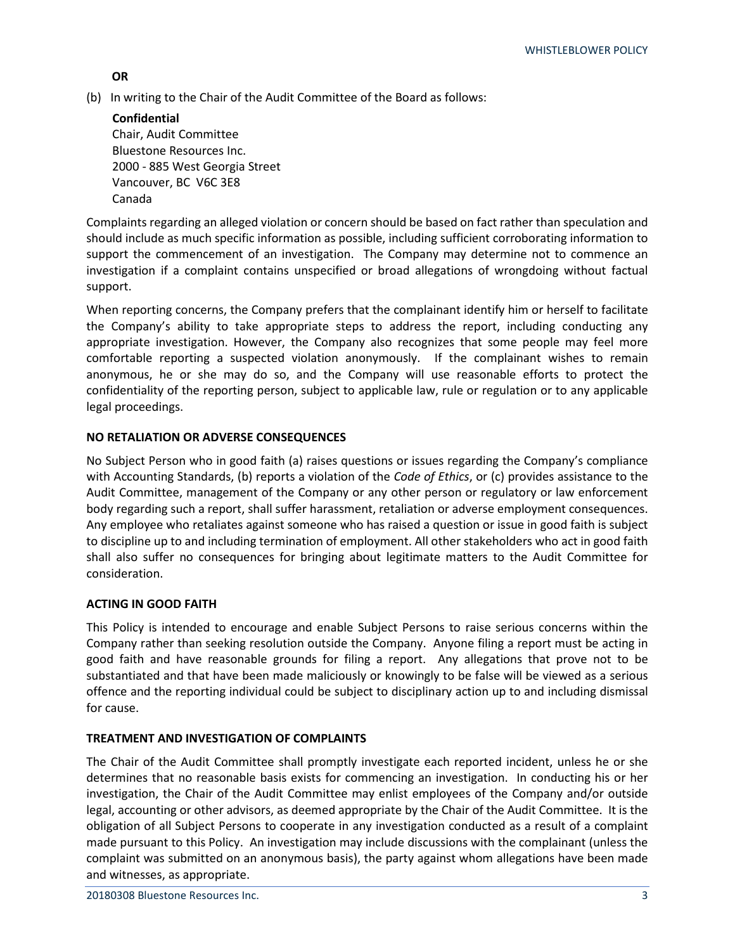# **OR**

(b) In writing to the Chair of the Audit Committee of the Board as follows:

**Confidential** Chair, Audit Committee Bluestone Resources Inc. 2000 - 885 West Georgia Street Vancouver, BC V6C 3E8 Canada

Complaints regarding an alleged violation or concern should be based on fact rather than speculation and should include as much specific information as possible, including sufficient corroborating information to support the commencement of an investigation. The Company may determine not to commence an investigation if a complaint contains unspecified or broad allegations of wrongdoing without factual support.

When reporting concerns, the Company prefers that the complainant identify him or herself to facilitate the Company's ability to take appropriate steps to address the report, including conducting any appropriate investigation. However, the Company also recognizes that some people may feel more comfortable reporting a suspected violation anonymously. If the complainant wishes to remain anonymous, he or she may do so, and the Company will use reasonable efforts to protect the confidentiality of the reporting person, subject to applicable law, rule or regulation or to any applicable legal proceedings.

# **NO RETALIATION OR ADVERSE CONSEQUENCES**

No Subject Person who in good faith (a) raises questions or issues regarding the Company's compliance with Accounting Standards, (b) reports a violation of the *Code of Ethics*, or (c) provides assistance to the Audit Committee, management of the Company or any other person or regulatory or law enforcement body regarding such a report, shall suffer harassment, retaliation or adverse employment consequences. Any employee who retaliates against someone who has raised a question or issue in good faith is subject to discipline up to and including termination of employment. All other stakeholders who act in good faith shall also suffer no consequences for bringing about legitimate matters to the Audit Committee for consideration.

# **ACTING IN GOOD FAITH**

This Policy is intended to encourage and enable Subject Persons to raise serious concerns within the Company rather than seeking resolution outside the Company. Anyone filing a report must be acting in good faith and have reasonable grounds for filing a report. Any allegations that prove not to be substantiated and that have been made maliciously or knowingly to be false will be viewed as a serious offence and the reporting individual could be subject to disciplinary action up to and including dismissal for cause.

# **TREATMENT AND INVESTIGATION OF COMPLAINTS**

The Chair of the Audit Committee shall promptly investigate each reported incident, unless he or she determines that no reasonable basis exists for commencing an investigation. In conducting his or her investigation, the Chair of the Audit Committee may enlist employees of the Company and/or outside legal, accounting or other advisors, as deemed appropriate by the Chair of the Audit Committee. It is the obligation of all Subject Persons to cooperate in any investigation conducted as a result of a complaint made pursuant to this Policy. An investigation may include discussions with the complainant (unless the complaint was submitted on an anonymous basis), the party against whom allegations have been made and witnesses, as appropriate.